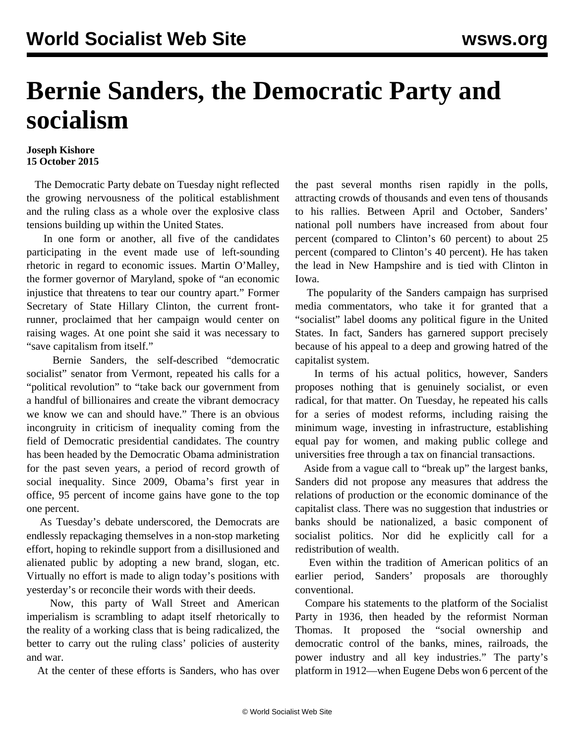## **Bernie Sanders, the Democratic Party and socialism**

## **Joseph Kishore 15 October 2015**

 The Democratic Party debate on Tuesday night reflected the growing nervousness of the political establishment and the ruling class as a whole over the explosive class tensions building up within the United States.

 In one form or another, all five of the candidates participating in the event made use of left-sounding rhetoric in regard to economic issues. Martin O'Malley, the former governor of Maryland, spoke of "an economic injustice that threatens to tear our country apart." Former Secretary of State Hillary Clinton, the current frontrunner, proclaimed that her campaign would center on raising wages. At one point she said it was necessary to "save capitalism from itself."

 Bernie Sanders, the self-described "democratic socialist" senator from Vermont, repeated his calls for a "political revolution" to "take back our government from a handful of billionaires and create the vibrant democracy we know we can and should have." There is an obvious incongruity in criticism of inequality coming from the field of Democratic presidential candidates. The country has been headed by the Democratic Obama administration for the past seven years, a period of record growth of social inequality. Since 2009, Obama's first year in office, 95 percent of income gains have gone to the top one percent.

 As Tuesday's debate underscored, the Democrats are endlessly repackaging themselves in a non-stop marketing effort, hoping to rekindle support from a disillusioned and alienated public by adopting a new brand, slogan, etc. Virtually no effort is made to align today's positions with yesterday's or reconcile their words with their deeds.

 Now, this party of Wall Street and American imperialism is scrambling to adapt itself rhetorically to the reality of a working class that is being radicalized, the better to carry out the ruling class' policies of austerity and war.

At the center of these efforts is Sanders, who has over

the past several months risen rapidly in the polls, attracting crowds of thousands and even tens of thousands to his rallies. Between April and October, Sanders' national poll numbers have increased from about four percent (compared to Clinton's 60 percent) to about 25 percent (compared to Clinton's 40 percent). He has taken the lead in New Hampshire and is tied with Clinton in Iowa.

 The popularity of the Sanders campaign has surprised media commentators, who take it for granted that a "socialist" label dooms any political figure in the United States. In fact, Sanders has garnered support precisely because of his appeal to a deep and growing hatred of the capitalist system.

 In terms of his actual politics, however, Sanders proposes nothing that is genuinely socialist, or even radical, for that matter. On Tuesday, he repeated his calls for a series of modest reforms, including raising the minimum wage, investing in infrastructure, establishing equal pay for women, and making public college and universities free through a tax on financial transactions.

 Aside from a vague call to "break up" the largest banks, Sanders did not propose any measures that address the relations of production or the economic dominance of the capitalist class. There was no suggestion that industries or banks should be nationalized, a basic component of socialist politics. Nor did he explicitly call for a redistribution of wealth.

 Even within the tradition of American politics of an earlier period, Sanders' proposals are thoroughly conventional.

 Compare his statements to the platform of the Socialist Party in 1936, then headed by the reformist Norman Thomas. It proposed the "social ownership and democratic control of the banks, mines, railroads, the power industry and all key industries." The party's platform in 1912—when Eugene Debs won 6 percent of the